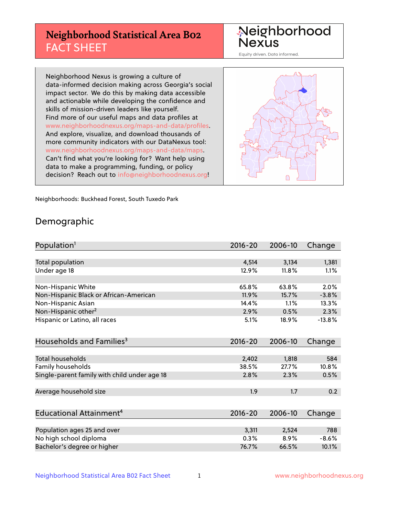# **Neighborhood Statistical Area B02** FACT SHEET

Neighborhood Nexus

Equity driven. Data informed.

Neighborhood Nexus is growing a culture of data-informed decision making across Georgia's social impact sector. We do this by making data accessible and actionable while developing the confidence and skills of mission-driven leaders like yourself. Find more of our useful maps and data profiles at www.neighborhoodnexus.org/maps-and-data/profiles. And explore, visualize, and download thousands of more community indicators with our DataNexus tool: www.neighborhoodnexus.org/maps-and-data/maps. Can't find what you're looking for? Want help using data to make a programming, funding, or policy decision? Reach out to [info@neighborhoodnexus.org!](mailto:info@neighborhoodnexus.org)



Neighborhoods: Buckhead Forest, South Tuxedo Park

### Demographic

| Population <sup>1</sup>                      | 2016-20     | 2006-10 | Change   |
|----------------------------------------------|-------------|---------|----------|
|                                              |             |         |          |
| Total population                             | 4,514       | 3,134   | 1,381    |
| Under age 18                                 | 12.9%       | 11.8%   | 1.1%     |
|                                              |             |         |          |
| Non-Hispanic White                           | 65.8%       | 63.8%   | 2.0%     |
| Non-Hispanic Black or African-American       | 11.9%       | 15.7%   | $-3.8%$  |
| Non-Hispanic Asian                           | 14.4%       | 1.1%    | 13.3%    |
| Non-Hispanic other <sup>2</sup>              | 2.9%        | 0.5%    | 2.3%     |
| Hispanic or Latino, all races                | 5.1%        | 18.9%   | $-13.8%$ |
|                                              |             |         |          |
| Households and Families <sup>3</sup>         | 2016-20     | 2006-10 | Change   |
|                                              |             |         |          |
| Total households                             | 2,402       | 1,818   | 584      |
| Family households                            | 38.5%       | 27.7%   | 10.8%    |
| Single-parent family with child under age 18 | 2.8%        | 2.3%    | 0.5%     |
|                                              |             |         |          |
| Average household size                       | 1.9         | 1.7     | 0.2      |
|                                              |             |         |          |
| Educational Attainment <sup>4</sup>          | $2016 - 20$ | 2006-10 | Change   |
|                                              |             |         |          |
| Population ages 25 and over                  | 3,311       | 2,524   | 788      |
| No high school diploma                       | 0.3%        | 8.9%    | $-8.6%$  |
| Bachelor's degree or higher                  | 76.7%       | 66.5%   | 10.1%    |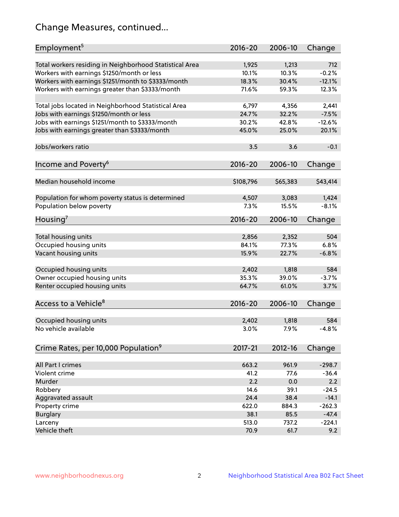# Change Measures, continued...

| Employment <sup>5</sup>                                 | $2016 - 20$    | 2006-10        | Change   |
|---------------------------------------------------------|----------------|----------------|----------|
|                                                         |                |                | 712      |
| Total workers residing in Neighborhood Statistical Area | 1,925<br>10.1% | 1,213<br>10.3% | $-0.2%$  |
| Workers with earnings \$1250/month or less              | 18.3%          | 30.4%          | $-12.1%$ |
| Workers with earnings \$1251/month to \$3333/month      | 71.6%          | 59.3%          | 12.3%    |
| Workers with earnings greater than \$3333/month         |                |                |          |
| Total jobs located in Neighborhood Statistical Area     | 6,797          | 4,356          | 2,441    |
| Jobs with earnings \$1250/month or less                 | 24.7%          | 32.2%          | $-7.5%$  |
| Jobs with earnings \$1251/month to \$3333/month         | 30.2%          | 42.8%          | $-12.6%$ |
| Jobs with earnings greater than \$3333/month            | 45.0%          | 25.0%          | 20.1%    |
|                                                         |                |                |          |
| Jobs/workers ratio                                      | 3.5            | 3.6            | $-0.1$   |
|                                                         |                |                |          |
| Income and Poverty <sup>6</sup>                         | 2016-20        | 2006-10        | Change   |
|                                                         |                |                |          |
| Median household income                                 | \$108,796      | \$65,383       | \$43,414 |
|                                                         |                |                |          |
| Population for whom poverty status is determined        | 4,507          | 3,083          | 1,424    |
| Population below poverty                                | 7.3%           | 15.5%          | $-8.1%$  |
| Housing <sup>7</sup>                                    | $2016 - 20$    | 2006-10        | Change   |
|                                                         |                |                |          |
| Total housing units                                     | 2,856          | 2,352          | 504      |
| Occupied housing units                                  | 84.1%          | 77.3%          | 6.8%     |
| Vacant housing units                                    | 15.9%          | 22.7%          | $-6.8%$  |
|                                                         |                |                |          |
| Occupied housing units                                  | 2,402          | 1,818          | 584      |
| Owner occupied housing units                            | 35.3%          | 39.0%          | $-3.7%$  |
| Renter occupied housing units                           | 64.7%          | 61.0%          | 3.7%     |
|                                                         |                |                |          |
| Access to a Vehicle <sup>8</sup>                        | $2016 - 20$    | 2006-10        | Change   |
|                                                         |                |                |          |
| Occupied housing units                                  | 2,402          | 1,818          | 584      |
| No vehicle available                                    | 3.0%           | 7.9%           | $-4.8%$  |
|                                                         |                |                |          |
| Crime Rates, per 10,000 Population <sup>9</sup>         | 2017-21        | 2012-16        |          |
|                                                         |                |                | Change   |
| All Part I crimes                                       | 663.2          | 961.9          | $-298.7$ |
| Violent crime                                           | 41.2           | 77.6           | $-36.4$  |
| Murder                                                  | 2.2            | 0.0            | 2.2      |
| Robbery                                                 | 14.6           | 39.1           | $-24.5$  |
|                                                         | 24.4           | 38.4           | $-14.1$  |
| Aggravated assault<br>Property crime                    | 622.0          | 884.3          | $-262.3$ |
| <b>Burglary</b>                                         | 38.1           | 85.5           | $-47.4$  |
| Larceny                                                 | 513.0          | 737.2          | $-224.1$ |
| Vehicle theft                                           | 70.9           | 61.7           | 9.2      |
|                                                         |                |                |          |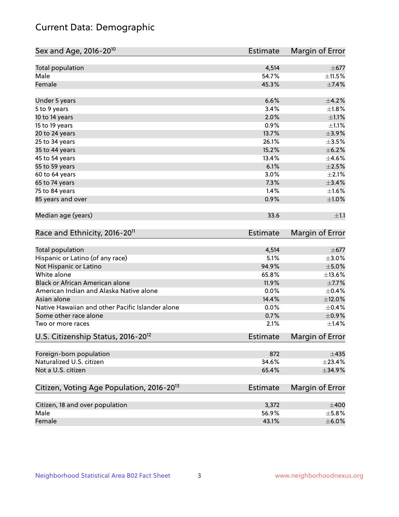# Current Data: Demographic

| Sex and Age, 2016-20 <sup>10</sup>                    | <b>Estimate</b> | Margin of Error |
|-------------------------------------------------------|-----------------|-----------------|
| Total population                                      | 4,514           | $\pm$ 677       |
| Male                                                  | 54.7%           | $\pm$ 11.5%     |
| Female                                                | 45.3%           | $\pm$ 7.4%      |
| Under 5 years                                         | 6.6%            | $\pm$ 4.2%      |
| 5 to 9 years                                          | 3.4%            | $\pm1.8\%$      |
| 10 to 14 years                                        | 2.0%            | $\pm 1.1\%$     |
| 15 to 19 years                                        | 0.9%            | $\pm 1.1\%$     |
| 20 to 24 years                                        | 13.7%           | $\pm$ 3.9%      |
| 25 to 34 years                                        | 26.1%           | $\pm 3.5\%$     |
| 35 to 44 years                                        | 15.2%           | $\pm$ 6.2%      |
| 45 to 54 years                                        | 13.4%           | $\pm$ 4.6%      |
| 55 to 59 years                                        | 6.1%            | $\pm 2.5\%$     |
| 60 to 64 years                                        | 3.0%            | $\pm 2.1\%$     |
| 65 to 74 years                                        | 7.3%            | $\pm$ 3.4%      |
| 75 to 84 years                                        | 1.4%            | ±1.6%           |
| 85 years and over                                     | 0.9%            | $\pm 1.0\%$     |
| Median age (years)                                    | 33.6            | ±1.1            |
| Race and Ethnicity, 2016-20 <sup>11</sup>             | <b>Estimate</b> | Margin of Error |
| Total population                                      | 4,514           | $\pm$ 677       |
| Hispanic or Latino (of any race)                      | 5.1%            | $\pm 3.0\%$     |
| Not Hispanic or Latino                                | 94.9%           | $\pm$ 5.0%      |
| White alone                                           | 65.8%           | ±13.6%          |
| Black or African American alone                       | 11.9%           | $\pm$ 7.7%      |
| American Indian and Alaska Native alone               | 0.0%            | $\pm$ 0.4%      |
| Asian alone                                           | 14.4%           | $\pm$ 12.0%     |
| Native Hawaiian and other Pacific Islander alone      | 0.0%            | $\pm$ 0.4%      |
| Some other race alone                                 | 0.7%            | $\pm$ 0.9%      |
| Two or more races                                     | 2.1%            | ±1.4%           |
| U.S. Citizenship Status, 2016-20 <sup>12</sup>        | <b>Estimate</b> | Margin of Error |
| Foreign-born population                               | 872             | $\pm$ 435       |
| Naturalized U.S. citizen                              | 34.6%           | ±23.4%          |
| Not a U.S. citizen                                    | 65.4%           | ±34.9%          |
| Citizen, Voting Age Population, 2016-20 <sup>13</sup> | Estimate        | Margin of Error |
| Citizen, 18 and over population                       | 3,372           | $\pm 400$       |
| Male                                                  | 56.9%           | $\pm$ 5.8%      |
| Female                                                | 43.1%           | $\pm$ 6.0%      |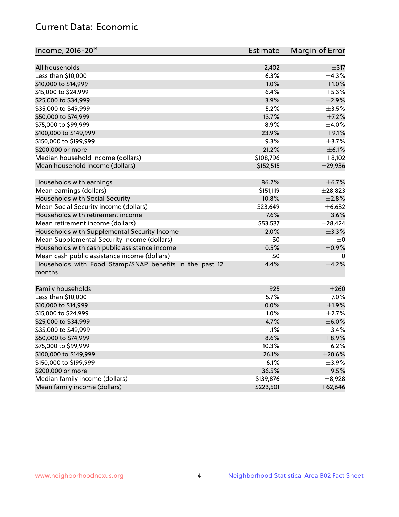# Current Data: Economic

| Income, 2016-20 <sup>14</sup>                                     | <b>Estimate</b> | Margin of Error |
|-------------------------------------------------------------------|-----------------|-----------------|
| All households                                                    |                 | $\pm$ 317       |
| Less than \$10,000                                                | 2,402<br>6.3%   | ±4.3%           |
|                                                                   | 1.0%            |                 |
| \$10,000 to \$14,999                                              |                 | $\pm 1.0\%$     |
| \$15,000 to \$24,999                                              | 6.4%            | $\pm$ 5.3%      |
| \$25,000 to \$34,999                                              | 3.9%            | $\pm 2.9\%$     |
| \$35,000 to \$49,999                                              | 5.2%            | $\pm 3.5\%$     |
| \$50,000 to \$74,999                                              | 13.7%           | $\pm$ 7.2%      |
| \$75,000 to \$99,999                                              | 8.9%            | $\pm$ 4.0%      |
| \$100,000 to \$149,999                                            | 23.9%           | $\pm$ 9.1%      |
| \$150,000 to \$199,999                                            | 9.3%            | $\pm$ 3.7%      |
| \$200,000 or more                                                 | 21.2%           | $\pm$ 6.1%      |
| Median household income (dollars)                                 | \$108,796       | $\pm$ 8,102     |
| Mean household income (dollars)                                   | \$152,515       | $±$ 29,936      |
| Households with earnings                                          | 86.2%           | $\pm$ 6.7%      |
| Mean earnings (dollars)                                           | \$151,119       | ±28,823         |
| Households with Social Security                                   | 10.8%           | $\pm 2.8\%$     |
| Mean Social Security income (dollars)                             | \$23,649        | ±6,632          |
| Households with retirement income                                 | 7.6%            | $\pm 3.6\%$     |
| Mean retirement income (dollars)                                  | \$53,537        | ± 28,424        |
| Households with Supplemental Security Income                      | 2.0%            | ±3.3%           |
| Mean Supplemental Security Income (dollars)                       | \$0             | $\pm$ 0         |
| Households with cash public assistance income                     | 0.5%            | $\pm$ 0.9%      |
| Mean cash public assistance income (dollars)                      | \$0             | $\pm 0$         |
| Households with Food Stamp/SNAP benefits in the past 12<br>months | 4.4%            | $\pm$ 4.2%      |
| Family households                                                 | 925             | $\pm 260$       |
| Less than \$10,000                                                | 5.7%            | $\pm$ 7.0%      |
| \$10,000 to \$14,999                                              | 0.0%            | ±1.9%           |
| \$15,000 to \$24,999                                              | 1.0%            | $\pm 2.7\%$     |
| \$25,000 to \$34,999                                              | 4.7%            | $\pm$ 6.0%      |
| \$35,000 to \$49,999                                              | 1.1%            | ±3.4%           |
| \$50,000 to \$74,999                                              | 8.6%            | $\pm$ 8.9%      |
| \$75,000 to \$99,999                                              | 10.3%           | $\pm$ 6.2%      |
| \$100,000 to \$149,999                                            | 26.1%           | $\pm 20.6\%$    |
| \$150,000 to \$199,999                                            | 6.1%            | $\pm$ 3.9%      |
| \$200,000 or more                                                 | 36.5%           | $\pm$ 9.5%      |
| Median family income (dollars)                                    | \$139,876       | $\pm$ 8,928     |
| Mean family income (dollars)                                      | \$223,501       | ±62,646         |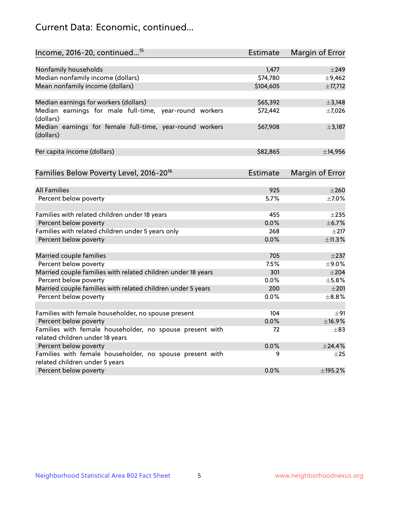# Current Data: Economic, continued...

| Income, 2016-20, continued <sup>15</sup>                              | <b>Estimate</b>   | Margin of Error     |
|-----------------------------------------------------------------------|-------------------|---------------------|
|                                                                       |                   |                     |
| Nonfamily households<br>Median nonfamily income (dollars)             | 1,477<br>\$74,780 | $\pm$ 249<br>±9,462 |
| Mean nonfamily income (dollars)                                       | \$104,605         | ±17,712             |
|                                                                       |                   |                     |
| Median earnings for workers (dollars)                                 | \$65,392          | ±3,148              |
| Median earnings for male full-time, year-round workers<br>(dollars)   | \$72,442          | $\pm$ 7,026         |
| Median earnings for female full-time, year-round workers<br>(dollars) | \$67,908          | $\pm$ 3,187         |
| Per capita income (dollars)                                           | \$82,865          | ±14,956             |
| Families Below Poverty Level, 2016-20 <sup>16</sup>                   | <b>Estimate</b>   | Margin of Error     |
|                                                                       |                   |                     |
| <b>All Families</b>                                                   | 925               | $\pm 260$           |
| Percent below poverty                                                 | 5.7%              | $\pm$ 7.0%          |
| Families with related children under 18 years                         | 455               | $\pm 235$           |
| Percent below poverty                                                 | 0.0%              | ±6.7%               |
| Families with related children under 5 years only                     | 268               | $\pm 217$           |
| Percent below poverty                                                 | 0.0%              | ±11.3%              |
| Married couple families                                               | 705               | $\pm 237$           |
| Percent below poverty                                                 | 7.5%              | ±9.0%               |
| Married couple families with related children under 18 years          | 301               | $\pm 204$           |
| Percent below poverty                                                 | 0.0%              | $\pm$ 5.8%          |
| Married couple families with related children under 5 years           | 200               | $\pm 201$           |
| Percent below poverty                                                 | $0.0\%$           | $\pm$ 8.8%          |
| Families with female householder, no spouse present                   | 104               | ±91                 |
| Percent below poverty                                                 | 0.0%              | ±16.9%              |
| Families with female householder, no spouse present with              | 72                | $\pm$ 83            |
| related children under 18 years                                       |                   |                     |
| Percent below poverty                                                 | 0.0%              | $+24.4%$            |
| Families with female householder, no spouse present with              | 9                 | $\pm 25$            |
| related children under 5 years                                        |                   |                     |
| Percent below poverty                                                 | 0.0%              | ±195.2%             |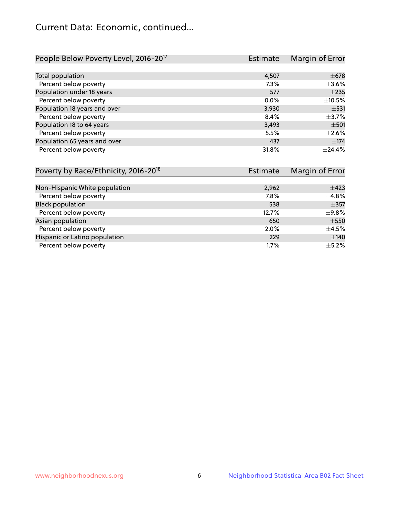# Current Data: Economic, continued...

| People Below Poverty Level, 2016-20 <sup>17</sup> | <b>Estimate</b> | Margin of Error |
|---------------------------------------------------|-----------------|-----------------|
|                                                   |                 |                 |
| Total population                                  | 4,507           | $\pm 678$       |
| Percent below poverty                             | 7.3%            | $\pm$ 3.6%      |
| Population under 18 years                         | 577             | $\pm 235$       |
| Percent below poverty                             | $0.0\%$         | $\pm$ 10.5%     |
| Population 18 years and over                      | 3,930           | $\pm$ 531       |
| Percent below poverty                             | 8.4%            | $\pm$ 3.7%      |
| Population 18 to 64 years                         | 3,493           | $\pm$ 501       |
| Percent below poverty                             | 5.5%            | $\pm 2.6\%$     |
| Population 65 years and over                      | 437             | ±174            |
| Percent below poverty                             | 31.8%           | $+24.4%$        |

| Poverty by Race/Ethnicity, 2016-20 <sup>18</sup> | Estimate | Margin of Error |
|--------------------------------------------------|----------|-----------------|
|                                                  |          |                 |
| Non-Hispanic White population                    | 2,962    | $\pm 423$       |
| Percent below poverty                            | 7.8%     | $\pm$ 4.8%      |
| <b>Black population</b>                          | 538      | $\pm$ 357       |
| Percent below poverty                            | 12.7%    | ±9.8%           |
| Asian population                                 | 650      | $\pm$ 550       |
| Percent below poverty                            | $2.0\%$  | $\pm 4.5\%$     |
| Hispanic or Latino population                    | 229      | ±140            |
| Percent below poverty                            | 1.7%     | $\pm$ 5.2%      |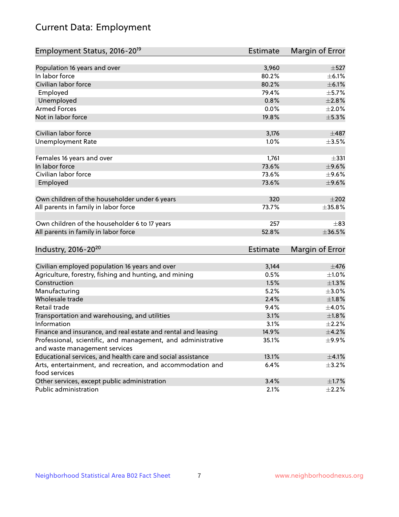# Current Data: Employment

| Employment Status, 2016-20 <sup>19</sup>                      | <b>Estimate</b> | Margin of Error |
|---------------------------------------------------------------|-----------------|-----------------|
|                                                               |                 |                 |
| Population 16 years and over                                  | 3,960           | $\pm$ 527       |
| In labor force                                                | 80.2%           | $\pm$ 6.1%      |
| Civilian labor force                                          | 80.2%           | $\pm$ 6.1%      |
| Employed                                                      | 79.4%           | $\pm$ 5.7%      |
| Unemployed                                                    | 0.8%            | $\pm 2.8\%$     |
| <b>Armed Forces</b>                                           | 0.0%            | $\pm 2.0\%$     |
| Not in labor force                                            | 19.8%           | $\pm$ 5.3%      |
| Civilian labor force                                          | 3,176           | $\pm$ 487       |
| <b>Unemployment Rate</b>                                      | 1.0%            | $\pm 3.5\%$     |
|                                                               |                 |                 |
| Females 16 years and over                                     | 1,761           | $\pm$ 331       |
| In labor force                                                | 73.6%           | $\pm$ 9.6%      |
| Civilian labor force                                          | 73.6%           | $\pm$ 9.6%      |
| Employed                                                      | 73.6%           | $\pm$ 9.6%      |
| Own children of the householder under 6 years                 | 320             | $\pm 202$       |
|                                                               |                 |                 |
| All parents in family in labor force                          | 73.7%           | $\pm 35.8 \%$   |
| Own children of the householder 6 to 17 years                 | 257             | $\pm$ 83        |
| All parents in family in labor force                          | 52.8%           | ±36.5%          |
|                                                               |                 |                 |
| Industry, 2016-20 <sup>20</sup>                               | <b>Estimate</b> | Margin of Error |
| Civilian employed population 16 years and over                | 3,144           | $\pm$ 476       |
| Agriculture, forestry, fishing and hunting, and mining        | 0.5%            | $\pm 1.0\%$     |
| Construction                                                  | 1.5%            | $\pm 1.3\%$     |
| Manufacturing                                                 | 5.2%            | $\pm 3.0\%$     |
| Wholesale trade                                               | 2.4%            | $\pm 1.8\%$     |
| Retail trade                                                  | 9.4%            | $\pm$ 4.0%      |
| Transportation and warehousing, and utilities                 | 3.1%            | $\pm 1.8\%$     |
| Information                                                   | 3.1%            | $\pm 2.2\%$     |
| Finance and insurance, and real estate and rental and leasing | 14.9%           | $\pm$ 4.2%      |
| Professional, scientific, and management, and administrative  | 35.1%           | ±9.9%           |
| and waste management services                                 |                 |                 |
| Educational services, and health care and social assistance   | 13.1%           | $\pm 4.1\%$     |
| Arts, entertainment, and recreation, and accommodation and    | 6.4%            | $\pm$ 3.2%      |
| food services                                                 |                 |                 |
| Other services, except public administration                  | 3.4%            | $\pm1.7\%$      |
| Public administration                                         | 2.1%            | $\pm$ 2.2%      |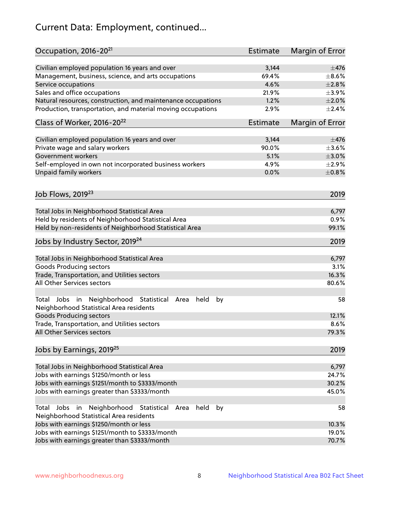# Current Data: Employment, continued...

| Occupation, 2016-20 <sup>21</sup>                                                                                | Estimate | Margin of Error |
|------------------------------------------------------------------------------------------------------------------|----------|-----------------|
| Civilian employed population 16 years and over                                                                   | 3,144    | $\pm$ 476       |
| Management, business, science, and arts occupations                                                              | 69.4%    | $\pm$ 8.6%      |
| Service occupations                                                                                              | 4.6%     | $\pm 2.8\%$     |
| Sales and office occupations                                                                                     | 21.9%    | $\pm$ 3.9%      |
| Natural resources, construction, and maintenance occupations                                                     | 1.2%     | $\pm 2.0\%$     |
| Production, transportation, and material moving occupations                                                      | 2.9%     | ±2.4%           |
| Class of Worker, 2016-20 <sup>22</sup>                                                                           | Estimate | Margin of Error |
| Civilian employed population 16 years and over                                                                   | 3,144    | $\pm$ 476       |
| Private wage and salary workers                                                                                  | 90.0%    | $\pm 3.6\%$     |
| Government workers                                                                                               | 5.1%     | $\pm 3.0\%$     |
| Self-employed in own not incorporated business workers                                                           | 4.9%     | $\pm 2.9\%$     |
| Unpaid family workers                                                                                            | 0.0%     | $\pm$ 0.8%      |
| Job Flows, 2019 <sup>23</sup>                                                                                    |          | 2019            |
|                                                                                                                  |          |                 |
| Total Jobs in Neighborhood Statistical Area                                                                      |          | 6,797           |
| Held by residents of Neighborhood Statistical Area                                                               |          | 0.9%            |
| Held by non-residents of Neighborhood Statistical Area                                                           |          | 99.1%           |
| Jobs by Industry Sector, 2019 <sup>24</sup>                                                                      |          | 2019            |
| Total Jobs in Neighborhood Statistical Area                                                                      |          | 6,797           |
| <b>Goods Producing sectors</b>                                                                                   |          | 3.1%            |
| Trade, Transportation, and Utilities sectors                                                                     |          | 16.3%           |
| All Other Services sectors                                                                                       |          | 80.6%           |
| Total Jobs in Neighborhood Statistical<br>held<br>by<br>Area<br>Neighborhood Statistical Area residents          |          | 58              |
| <b>Goods Producing sectors</b>                                                                                   |          | 12.1%           |
| Trade, Transportation, and Utilities sectors                                                                     |          | 8.6%            |
| All Other Services sectors                                                                                       |          | 79.3%           |
| Jobs by Earnings, 2019 <sup>25</sup>                                                                             |          | 2019            |
| Total Jobs in Neighborhood Statistical Area                                                                      |          | 6,797           |
| Jobs with earnings \$1250/month or less                                                                          |          | 24.7%           |
| Jobs with earnings \$1251/month to \$3333/month                                                                  |          | 30.2%           |
| Jobs with earnings greater than \$3333/month                                                                     |          | 45.0%           |
| Neighborhood Statistical<br>Jobs<br>in<br>held<br>by<br>Total<br>Area<br>Neighborhood Statistical Area residents |          | 58              |
| Jobs with earnings \$1250/month or less                                                                          |          | 10.3%           |
| Jobs with earnings \$1251/month to \$3333/month                                                                  |          | 19.0%           |
| Jobs with earnings greater than \$3333/month                                                                     |          | 70.7%           |
|                                                                                                                  |          |                 |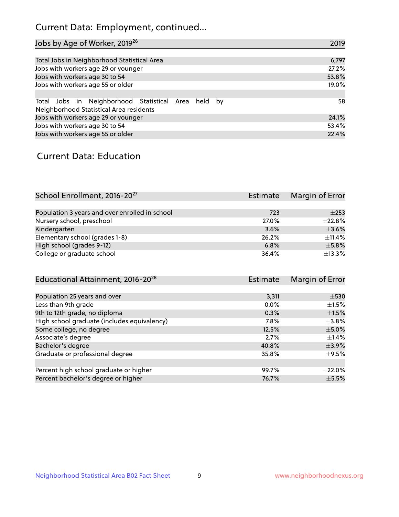# Current Data: Employment, continued...

| Jobs by Age of Worker, 2019 <sup>26</sup>                                                      | 2019  |
|------------------------------------------------------------------------------------------------|-------|
|                                                                                                |       |
| Total Jobs in Neighborhood Statistical Area                                                    | 6,797 |
| Jobs with workers age 29 or younger                                                            | 27.2% |
| Jobs with workers age 30 to 54                                                                 | 53.8% |
| Jobs with workers age 55 or older                                                              | 19.0% |
|                                                                                                |       |
| Total Jobs in Neighborhood Statistical Area held by<br>Neighborhood Statistical Area residents | 58    |
| Jobs with workers age 29 or younger                                                            | 24.1% |
| Jobs with workers age 30 to 54                                                                 | 53.4% |
| Jobs with workers age 55 or older                                                              | 22.4% |

### Current Data: Education

| School Enrollment, 2016-20 <sup>27</sup>       | <b>Estimate</b> | Margin of Error |
|------------------------------------------------|-----------------|-----------------|
|                                                |                 |                 |
| Population 3 years and over enrolled in school | 723             | $+253$          |
| Nursery school, preschool                      | 27.0%           | $\pm$ 22.8%     |
| Kindergarten                                   | 3.6%            | $\pm$ 3.6%      |
| Elementary school (grades 1-8)                 | 26.2%           | ±11.4%          |
| High school (grades 9-12)                      | 6.8%            | $\pm$ 5.8%      |
| College or graduate school                     | 36.4%           | ±13.3%          |

| Educational Attainment, 2016-20 <sup>28</sup> | <b>Estimate</b> | Margin of Error |
|-----------------------------------------------|-----------------|-----------------|
|                                               |                 |                 |
| Population 25 years and over                  | 3,311           | $\pm$ 530       |
| Less than 9th grade                           | 0.0%            | $\pm 1.5\%$     |
| 9th to 12th grade, no diploma                 | 0.3%            | $\pm1.5\%$      |
| High school graduate (includes equivalency)   | 7.8%            | $\pm$ 3.8%      |
| Some college, no degree                       | 12.5%           | $\pm$ 5.0%      |
| Associate's degree                            | 2.7%            | $\pm$ 1.4%      |
| Bachelor's degree                             | 40.8%           | $\pm$ 3.9%      |
| Graduate or professional degree               | 35.8%           | $\pm$ 9.5%      |
|                                               |                 |                 |
| Percent high school graduate or higher        | 99.7%           | $\pm 22.0\%$    |
| Percent bachelor's degree or higher           | 76.7%           | $\pm$ 5.5%      |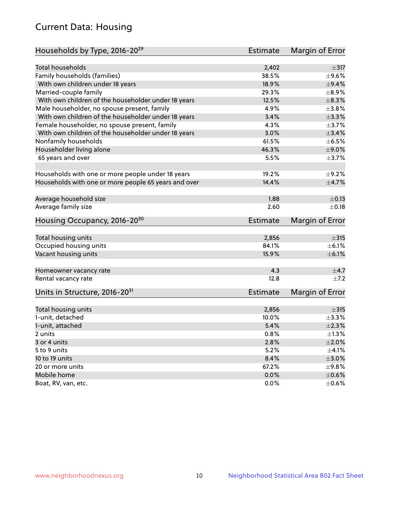# Current Data: Housing

| Households by Type, 2016-20 <sup>29</sup>            | <b>Estimate</b> | Margin of Error |
|------------------------------------------------------|-----------------|-----------------|
|                                                      |                 |                 |
| Total households                                     | 2,402           | $\pm$ 317       |
| Family households (families)                         | 38.5%           | $\pm$ 9.6%      |
| With own children under 18 years                     | 18.9%           | $\pm$ 9.4%      |
| Married-couple family                                | 29.3%           | $\pm$ 8.9%      |
| With own children of the householder under 18 years  | 12.5%           | $\pm$ 8.3%      |
| Male householder, no spouse present, family          | 4.9%            | $\pm$ 3.8%      |
| With own children of the householder under 18 years  | 3.4%            | $\pm$ 3.3%      |
| Female householder, no spouse present, family        | 4.3%            | $\pm$ 3.7%      |
| With own children of the householder under 18 years  | 3.0%            | ±3.4%           |
| Nonfamily households                                 | 61.5%           | $\pm$ 6.5%      |
| Householder living alone                             | 46.3%           | $\pm$ 9.0%      |
| 65 years and over                                    | 5.5%            | ±3.7%           |
| Households with one or more people under 18 years    | 19.2%           | $\pm$ 9.2%      |
| Households with one or more people 65 years and over | 14.4%           | $\pm$ 4.7%      |
|                                                      |                 |                 |
| Average household size                               | 1.88            | $\pm$ 0.13      |
| Average family size                                  | 2.60            | $\pm$ 0.18      |
| Housing Occupancy, 2016-20 <sup>30</sup>             | <b>Estimate</b> | Margin of Error |
| Total housing units                                  | 2,856           | $\pm$ 315       |
| Occupied housing units                               | 84.1%           | $\pm$ 6.1%      |
| Vacant housing units                                 | 15.9%           | $\pm$ 6.1%      |
|                                                      |                 |                 |
| Homeowner vacancy rate                               | 4.3             | $\pm$ 4.7       |
| Rental vacancy rate                                  | 12.8            | $\pm$ 7.2       |
| Units in Structure, 2016-20 <sup>31</sup>            | Estimate        | Margin of Error |
| Total housing units                                  | 2,856           | $\pm$ 315       |
| 1-unit, detached                                     | 10.0%           | $\pm$ 3.3%      |
|                                                      |                 | $\pm 2.3\%$     |
| 1-unit, attached                                     | 5.4%            | $\pm 1.3\%$     |
| 2 units                                              | 0.8%<br>2.8%    |                 |
| 3 or 4 units                                         |                 | $\pm 2.0\%$     |
| 5 to 9 units                                         | 5.2%            | $\pm 4.1\%$     |
| 10 to 19 units                                       | 8.4%            | $\pm 3.0\%$     |
| 20 or more units                                     | 67.2%           | $\pm$ 9.8%      |
| Mobile home                                          | 0.0%            | $\pm$ 0.6%      |
| Boat, RV, van, etc.                                  | $0.0\%$         | $\pm$ 0.6%      |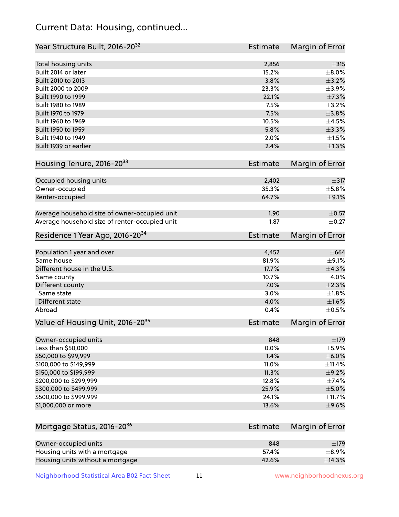# Current Data: Housing, continued...

| Year Structure Built, 2016-20 <sup>32</sup>    | Estimate        | Margin of Error |
|------------------------------------------------|-----------------|-----------------|
| Total housing units                            | 2,856           | $\pm$ 315       |
| Built 2014 or later                            | 15.2%           | $\pm 8.0\%$     |
| Built 2010 to 2013                             | 3.8%            | $\pm$ 3.2%      |
| Built 2000 to 2009                             | 23.3%           | $\pm$ 3.9%      |
| Built 1990 to 1999                             | 22.1%           | $\pm$ 7.3%      |
| Built 1980 to 1989                             | 7.5%            | $\pm$ 3.2%      |
| Built 1970 to 1979                             | 7.5%            | $\pm$ 3.8%      |
| Built 1960 to 1969                             | 10.5%           | $\pm 4.5\%$     |
| Built 1950 to 1959                             | 5.8%            | ±3.3%           |
| Built 1940 to 1949                             | 2.0%            | $\pm1.5\%$      |
| Built 1939 or earlier                          | 2.4%            | $\pm 1.3\%$     |
| Housing Tenure, 2016-2033                      | <b>Estimate</b> | Margin of Error |
| Occupied housing units                         | 2,402           | $\pm$ 317       |
| Owner-occupied                                 | 35.3%           | $\pm$ 5.8%      |
| Renter-occupied                                | 64.7%           | $\pm$ 9.1%      |
| Average household size of owner-occupied unit  | 1.90            | $\pm$ 0.57      |
| Average household size of renter-occupied unit | 1.87            | $\pm$ 0.27      |
| Residence 1 Year Ago, 2016-20 <sup>34</sup>    | Estimate        | Margin of Error |
| Population 1 year and over                     | 4,452           | $\pm 664$       |
| Same house                                     | 81.9%           | $\pm$ 9.1%      |
| Different house in the U.S.                    | 17.7%           | $\pm$ 4.3%      |
| Same county                                    | 10.7%           | $\pm 4.0\%$     |
| Different county                               | 7.0%            | $\pm 2.3\%$     |
| Same state                                     | 3.0%            | $\pm 1.8\%$     |
| Different state                                | 4.0%            | $\pm 1.6\%$     |
| Abroad                                         | 0.4%            | $\pm$ 0.5%      |
| Value of Housing Unit, 2016-20 <sup>35</sup>   | <b>Estimate</b> | Margin of Error |
| Owner-occupied units                           | 848             | $\pm$ 179       |
| Less than \$50,000                             | 0.0%            | $\pm$ 5.9%      |
| \$50,000 to \$99,999                           | 1.4%            | $\pm$ 6.0%      |
| \$100,000 to \$149,999                         | 11.0%           | ±11.4%          |
| \$150,000 to \$199,999                         | 11.3%           | $\pm$ 9.2%      |
| \$200,000 to \$299,999                         | 12.8%           | ±7.4%           |
| \$300,000 to \$499,999                         | 25.9%           | $\pm$ 5.0%      |
| \$500,000 to \$999,999                         | 24.1%           | ±11.7%          |
| \$1,000,000 or more                            | 13.6%           | $\pm$ 9.6%      |
| Mortgage Status, 2016-20 <sup>36</sup>         | <b>Estimate</b> | Margin of Error |
| Owner-occupied units                           | 848             | ±179            |
| Housing units with a mortgage                  | 57.4%           | $\pm$ 8.9%      |

Neighborhood Statistical Area B02 Fact Sheet 11 1 www.neighborhoodnexus.org

Housing units without a mortgage  $\pm 14.3\%$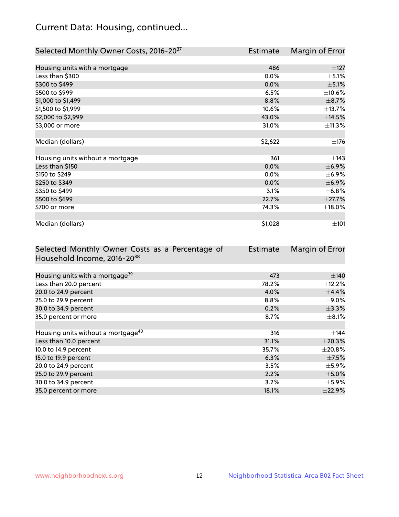# Current Data: Housing, continued...

| Selected Monthly Owner Costs, 2016-20 <sup>37</sup> | <b>Estimate</b> | Margin of Error |
|-----------------------------------------------------|-----------------|-----------------|
|                                                     |                 |                 |
| Housing units with a mortgage                       | 486             | $\pm$ 127       |
| Less than \$300                                     | $0.0\%$         | $\pm$ 5.1%      |
| \$300 to \$499                                      | 0.0%            | $\pm$ 5.1%      |
| \$500 to \$999                                      | 6.5%            | ±10.6%          |
| \$1,000 to \$1,499                                  | 8.8%            | $\pm$ 8.7%      |
| \$1,500 to \$1,999                                  | 10.6%           | ±13.7%          |
| \$2,000 to \$2,999                                  | 43.0%           | ±14.5%          |
| \$3,000 or more                                     | 31.0%           | ±11.3%          |
|                                                     |                 |                 |
| Median (dollars)                                    | \$2,622         | ±176            |
|                                                     |                 |                 |
| Housing units without a mortgage                    | 361             | ±143            |
| Less than \$150                                     | 0.0%            | $\pm$ 6.9%      |
| \$150 to \$249                                      | 0.0%            | $\pm$ 6.9%      |
| \$250 to \$349                                      | 0.0%            | $\pm$ 6.9%      |
| \$350 to \$499                                      | 3.1%            | ±6.8%           |
| \$500 to \$699                                      | 22.7%           | $\pm 27.7\%$    |
| \$700 or more                                       | 74.3%           | $\pm$ 18.0%     |
|                                                     |                 |                 |
| Median (dollars)                                    | \$1,028         | $\pm 101$       |

| Selected Monthly Owner Costs as a Percentage of | Estimate | Margin of Error |
|-------------------------------------------------|----------|-----------------|
| Household Income, 2016-20 <sup>38</sup>         |          |                 |
|                                                 |          |                 |
| Housing units with a mortgage <sup>39</sup>     | 473      | ±140            |
| Less than 20.0 percent                          | 78.2%    | $\pm$ 12.2%     |
| 20.0 to 24.9 percent                            | 4.0%     | $\pm$ 4.4%      |
| 25.0 to 29.9 percent                            | $8.8\%$  | $\pm$ 9.0%      |
| 30.0 to 34.9 percent                            | 0.2%     | $\pm$ 3.3%      |
| 35.0 percent or more                            | 8.7%     | $\pm$ 8.1%      |
|                                                 |          |                 |
| Housing units without a mortgage <sup>40</sup>  | 316      | $\pm$ 144       |
| Less than 10.0 percent                          | 31.1%    | ±20.3%          |
| 10.0 to 14.9 percent                            | 35.7%    | $\pm 20.8\%$    |
| 15.0 to 19.9 percent                            | 6.3%     | $\pm$ 7.5%      |
| 20.0 to 24.9 percent                            | 3.5%     | $\pm$ 5.9%      |
| 25.0 to 29.9 percent                            | 2.2%     | $\pm$ 5.0%      |
| 30.0 to 34.9 percent                            | 3.2%     | $\pm$ 5.9%      |
| 35.0 percent or more                            | 18.1%    | ±22.9%          |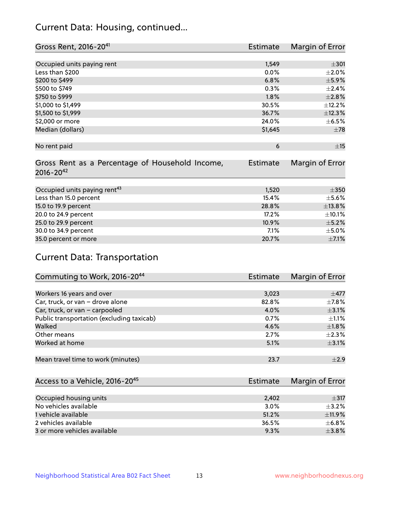# Current Data: Housing, continued...

| Gross Rent, 2016-20 <sup>41</sup>               | <b>Estimate</b> | Margin of Error |
|-------------------------------------------------|-----------------|-----------------|
|                                                 |                 |                 |
| Occupied units paying rent                      | 1,549           | $\pm 301$       |
| Less than \$200                                 | 0.0%            | $\pm 2.0\%$     |
| \$200 to \$499                                  | 6.8%            | $\pm$ 5.9%      |
| \$500 to \$749                                  | 0.3%            | $\pm$ 2.4%      |
| \$750 to \$999                                  | 1.8%            | ±2.8%           |
| \$1,000 to \$1,499                              | 30.5%           | ±12.2%          |
| \$1,500 to \$1,999                              | 36.7%           | ±12.3%          |
| \$2,000 or more                                 | 24.0%           | $\pm$ 6.5%      |
| Median (dollars)                                | \$1,645         | $\pm 78$        |
|                                                 |                 |                 |
| No rent paid                                    | 6               | ±15             |
|                                                 |                 |                 |
| Gross Rent as a Percentage of Household Income, | <b>Estimate</b> | Margin of Error |
| $2016 - 20^{42}$                                |                 |                 |
|                                                 |                 |                 |
| Occupied units paying rent <sup>43</sup>        | 1,520           | $\pm 350$       |
| Less than 15.0 percent                          | 15.4%           | $\pm$ 5.6%      |
| 15.0 to 19.9 percent                            | 28.8%           | ±13.8%          |
| 20.0 to 24.9 percent                            | 17.2%           | ±10.1%          |
| 25.0 to 29.9 percent                            | 10.9%           | $\pm$ 5.2%      |
| 30.0 to 34.9 percent                            | 7.1%            | $\pm$ 5.0%      |
| 35.0 percent or more                            | 20.7%           | $\pm$ 7.1%      |

# Current Data: Transportation

| Commuting to Work, 2016-20 <sup>44</sup>  | <b>Estimate</b> | Margin of Error |
|-------------------------------------------|-----------------|-----------------|
|                                           |                 |                 |
| Workers 16 years and over                 | 3,023           | $\pm$ 477       |
| Car, truck, or van - drove alone          | 82.8%           | $\pm$ 7.8%      |
| Car, truck, or van - carpooled            | 4.0%            | $\pm$ 3.1%      |
| Public transportation (excluding taxicab) | 0.7%            | $\pm 1.1\%$     |
| Walked                                    | 4.6%            | $\pm1.8\%$      |
| Other means                               | 2.7%            | $\pm 2.3\%$     |
| Worked at home                            | 5.1%            | $\pm$ 3.1%      |
|                                           |                 |                 |
| Mean travel time to work (minutes)        | 23.7            | $\pm 2.9$       |

| Access to a Vehicle, 2016-20 <sup>45</sup> | Estimate | Margin of Error |
|--------------------------------------------|----------|-----------------|
|                                            |          |                 |
| Occupied housing units                     | 2.402    | $\pm$ 317       |
| No vehicles available                      | 3.0%     | $+3.2%$         |
| 1 vehicle available                        | 51.2%    | $\pm$ 11.9%     |
| 2 vehicles available                       | 36.5%    | $\pm$ 6.8%      |
| 3 or more vehicles available               | 9.3%     | $\pm$ 3.8%      |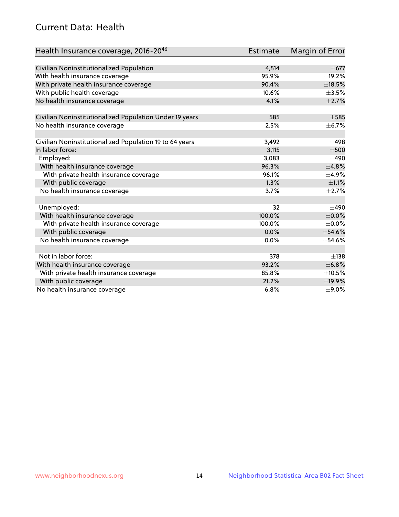# Current Data: Health

| Health Insurance coverage, 2016-2046                    | Estimate | Margin of Error |
|---------------------------------------------------------|----------|-----------------|
|                                                         |          |                 |
| Civilian Noninstitutionalized Population                | 4,514    | $\pm$ 677       |
| With health insurance coverage                          | 95.9%    | ±19.2%          |
| With private health insurance coverage                  | 90.4%    | ±18.5%          |
| With public health coverage                             | 10.6%    | $\pm$ 3.5%      |
| No health insurance coverage                            | 4.1%     | $\pm 2.7\%$     |
| Civilian Noninstitutionalized Population Under 19 years | 585      | $\pm$ 585       |
| No health insurance coverage                            | 2.5%     | $\pm$ 6.7%      |
| Civilian Noninstitutionalized Population 19 to 64 years | 3,492    | $\pm$ 498       |
| In labor force:                                         | 3,115    | $\pm 500$       |
| Employed:                                               | 3,083    | $\pm 490$       |
| With health insurance coverage                          | 96.3%    | ±4.8%           |
|                                                         | 96.1%    | $\pm$ 4.9%      |
| With private health insurance coverage                  |          |                 |
| With public coverage                                    | 1.3%     | $\pm 1.1\%$     |
| No health insurance coverage                            | 3.7%     | $\pm 2.7\%$     |
| Unemployed:                                             | 32       | $+490$          |
| With health insurance coverage                          | 100.0%   | $\pm$ 0.0%      |
| With private health insurance coverage                  | 100.0%   | $\pm$ 0.0%      |
| With public coverage                                    | 0.0%     | $\pm$ 54.6%     |
| No health insurance coverage                            | 0.0%     | ±54.6%          |
|                                                         |          |                 |
| Not in labor force:                                     | 378      | $\pm$ 138       |
| With health insurance coverage                          | 93.2%    | ±6.8%           |
| With private health insurance coverage                  | 85.8%    | $\pm 10.5\%$    |
| With public coverage                                    | 21.2%    | ±19.9%          |
| No health insurance coverage                            | 6.8%     | $\pm$ 9.0%      |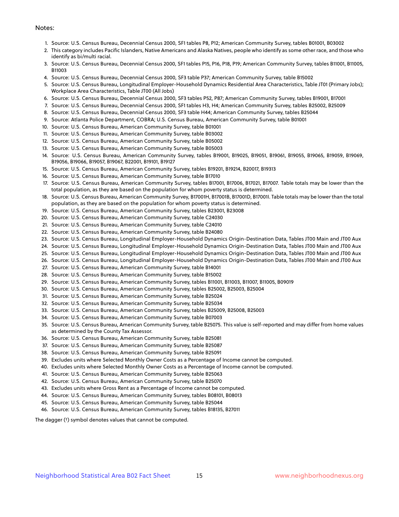#### Notes:

- 1. Source: U.S. Census Bureau, Decennial Census 2000, SF1 tables P8, P12; American Community Survey, tables B01001, B03002
- 2. This category includes Pacific Islanders, Native Americans and Alaska Natives, people who identify as some other race, and those who identify as bi/multi racial.
- 3. Source: U.S. Census Bureau, Decennial Census 2000, SF1 tables P15, P16, P18, P19; American Community Survey, tables B11001, B11005, B11003
- 4. Source: U.S. Census Bureau, Decennial Census 2000, SF3 table P37; American Community Survey, table B15002
- 5. Source: U.S. Census Bureau, Longitudinal Employer-Household Dynamics Residential Area Characteristics, Table JT01 (Primary Jobs); Workplace Area Characteristics, Table JT00 (All Jobs)
- 6. Source: U.S. Census Bureau, Decennial Census 2000, SF3 tables P52, P87; American Community Survey, tables B19001, B17001
- 7. Source: U.S. Census Bureau, Decennial Census 2000, SF1 tables H3, H4; American Community Survey, tables B25002, B25009
- 8. Source: U.S. Census Bureau, Decennial Census 2000, SF3 table H44; American Community Survey, tables B25044
- 9. Source: Atlanta Police Department, COBRA; U.S. Census Bureau, American Community Survey, table B01001
- 10. Source: U.S. Census Bureau, American Community Survey, table B01001
- 11. Source: U.S. Census Bureau, American Community Survey, table B03002
- 12. Source: U.S. Census Bureau, American Community Survey, table B05002
- 13. Source: U.S. Census Bureau, American Community Survey, table B05003
- 14. Source: U.S. Census Bureau, American Community Survey, tables B19001, B19025, B19051, B19061, B19055, B19065, B19059, B19069, B19056, B19066, B19057, B19067, B22001, B19101, B19127
- 15. Source: U.S. Census Bureau, American Community Survey, tables B19201, B19214, B20017, B19313
- 16. Source: U.S. Census Bureau, American Community Survey, table B17010
- 17. Source: U.S. Census Bureau, American Community Survey, tables B17001, B17006, B17021, B17007. Table totals may be lower than the total population, as they are based on the population for whom poverty status is determined.
- 18. Source: U.S. Census Bureau, American Community Survey, B17001H, B17001B, B17001D, B17001I. Table totals may be lower than the total population, as they are based on the population for whom poverty status is determined.
- 19. Source: U.S. Census Bureau, American Community Survey, tables B23001, B23008
- 20. Source: U.S. Census Bureau, American Community Survey, table C24030
- 21. Source: U.S. Census Bureau, American Community Survey, table C24010
- 22. Source: U.S. Census Bureau, American Community Survey, table B24080
- 23. Source: U.S. Census Bureau, Longitudinal Employer-Household Dynamics Origin-Destination Data, Tables JT00 Main and JT00 Aux
- 24. Source: U.S. Census Bureau, Longitudinal Employer-Household Dynamics Origin-Destination Data, Tables JT00 Main and JT00 Aux
- 25. Source: U.S. Census Bureau, Longitudinal Employer-Household Dynamics Origin-Destination Data, Tables JT00 Main and JT00 Aux
- 26. Source: U.S. Census Bureau, Longitudinal Employer-Household Dynamics Origin-Destination Data, Tables JT00 Main and JT00 Aux
- 27. Source: U.S. Census Bureau, American Community Survey, table B14001
- 28. Source: U.S. Census Bureau, American Community Survey, table B15002
- 29. Source: U.S. Census Bureau, American Community Survey, tables B11001, B11003, B11007, B11005, B09019
- 30. Source: U.S. Census Bureau, American Community Survey, tables B25002, B25003, B25004
- 31. Source: U.S. Census Bureau, American Community Survey, table B25024
- 32. Source: U.S. Census Bureau, American Community Survey, table B25034
- 33. Source: U.S. Census Bureau, American Community Survey, tables B25009, B25008, B25003
- 34. Source: U.S. Census Bureau, American Community Survey, table B07003
- 35. Source: U.S. Census Bureau, American Community Survey, table B25075. This value is self-reported and may differ from home values as determined by the County Tax Assessor.
- 36. Source: U.S. Census Bureau, American Community Survey, table B25081
- 37. Source: U.S. Census Bureau, American Community Survey, table B25087
- 38. Source: U.S. Census Bureau, American Community Survey, table B25091
- 39. Excludes units where Selected Monthly Owner Costs as a Percentage of Income cannot be computed.
- 40. Excludes units where Selected Monthly Owner Costs as a Percentage of Income cannot be computed.
- 41. Source: U.S. Census Bureau, American Community Survey, table B25063
- 42. Source: U.S. Census Bureau, American Community Survey, table B25070
- 43. Excludes units where Gross Rent as a Percentage of Income cannot be computed.
- 44. Source: U.S. Census Bureau, American Community Survey, tables B08101, B08013
- 45. Source: U.S. Census Bureau, American Community Survey, table B25044
- 46. Source: U.S. Census Bureau, American Community Survey, tables B18135, B27011

The dagger (†) symbol denotes values that cannot be computed.